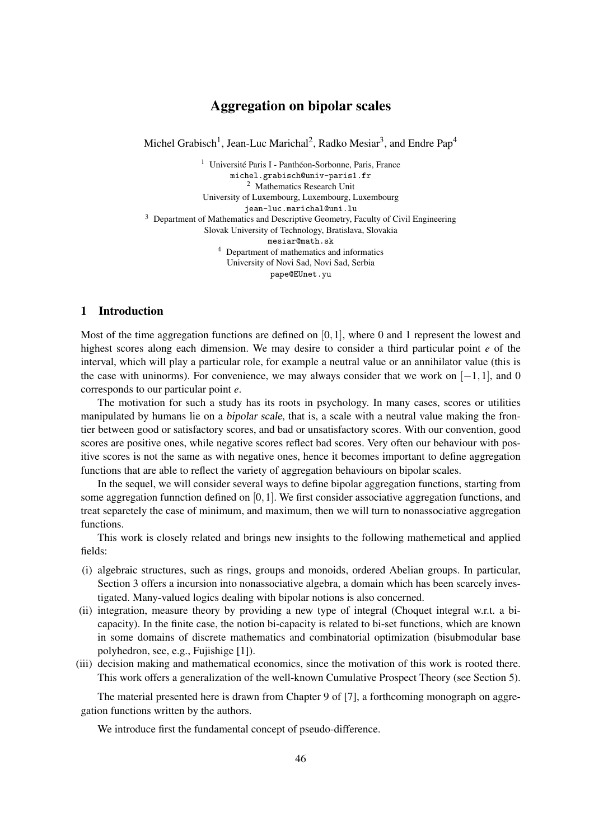# Aggregation on bipolar scales

Michel Grabisch<sup>1</sup>, Jean-Luc Marichal<sup>2</sup>, Radko Mesiar<sup>3</sup>, and Endre Pap<sup>4</sup>

 $1$  Université Paris I - Panthéon-Sorbonne, Paris, France michel.grabisch@univ-paris1.fr <sup>2</sup> Mathematics Research Unit University of Luxembourg, Luxembourg, Luxembourg jean-luc.marichal@uni.lu <sup>3</sup> Department of Mathematics and Descriptive Geometry, Faculty of Civil Engineering Slovak University of Technology, Bratislava, Slovakia mesiar@math.sk <sup>4</sup> Department of mathematics and informatics University of Novi Sad, Novi Sad, Serbia pape@EUnet.yu

# 1 Introduction

Most of the time aggregation functions are defined on  $[0,1]$ , where 0 and 1 represent the lowest and highest scores along each dimension. We may desire to consider a third particular point *e* of the interval, which will play a particular role, for example a neutral value or an annihilator value (this is the case with uninorms). For convenience, we may always consider that we work on  $[-1,1]$ , and 0 corresponds to our particular point *e*.

The motivation for such a study has its roots in psychology. In many cases, scores or utilities manipulated by humans lie on a *bipolar scale*, that is, a scale with a neutral value making the frontier between good or satisfactory scores, and bad or unsatisfactory scores. With our convention, good scores are positive ones, while negative scores reflect bad scores. Very often our behaviour with positive scores is not the same as with negative ones, hence it becomes important to define aggregation functions that are able to reflect the variety of aggregation behaviours on bipolar scales.

In the sequel, we will consider several ways to define bipolar aggregation functions, starting from some aggregation funnction defined on  $[0,1]$ . We first consider associative aggregation functions, and treat separetely the case of minimum, and maximum, then we will turn to nonassociative aggregation functions.

This work is closely related and brings new insights to the following mathemetical and applied fields:

- (i) algebraic structures, such as rings, groups and monoids, ordered Abelian groups. In particular, Section 3 offers a incursion into nonassociative algebra, a domain which has been scarcely investigated. Many-valued logics dealing with bipolar notions is also concerned.
- (ii) integration, measure theory by providing a new type of integral (Choquet integral w.r.t. a bicapacity). In the finite case, the notion bi-capacity is related to bi-set functions, which are known in some domains of discrete mathematics and combinatorial optimization (bisubmodular base polyhedron, see, e.g., Fujishige [1]).
- (iii) decision making and mathematical economics, since the motivation of this work is rooted there. This work offers a generalization of the well-known Cumulative Prospect Theory (see Section 5).

The material presented here is drawn from Chapter 9 of [7], a forthcoming monograph on aggregation functions written by the authors.

We introduce first the fundamental concept of pseudo-difference.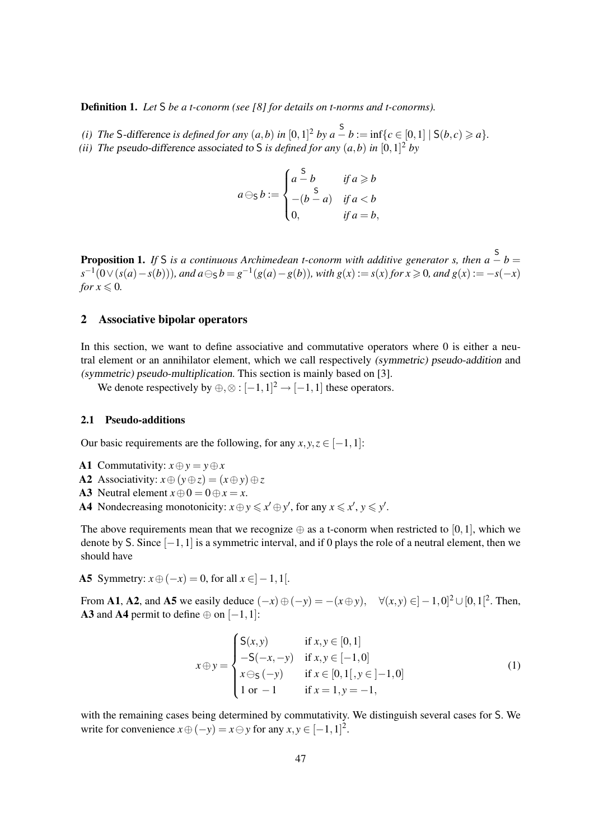Definition 1. *Let* S *be a t-conorm (see [8] for details on t-norms and t-conorms).*

*(i) The* S-difference *is defined for any*  $(a,b)$  *in*  $[0,1]^2$  *by*  $a-b := \inf\{c \in [0,1] \mid S(b,c) \ge a\}$ *. (ii)* The pseudo-difference associated to S *is defined for any*  $(a,b)$  *in*  $[0,1]^2$  *by* 

$$
a \ominus_{\mathsf{S}} b := \begin{cases} a - b & \text{if } a \geq b \\ -\left(b - a\right) & \text{if } a < b \\ 0, & \text{if } a = b, \end{cases}
$$

**Proposition 1.** *If* S *is a continuous Archimedean t-conorm with additive generator s, then a − b* =  $s^{-1}(0 \vee (s(a) - s(b)))$ , and  $a \ominus s b = g^{-1}(g(a) - g(b))$ , with  $g(x) := s(x)$  for  $x \ge 0$ , and  $g(x) := -s(-x)$ *for*  $x \leq 0$ *.* 

### 2 Associative bipolar operators

In this section, we want to define associative and commutative operators where 0 is either a neutral element or an annihilator element, which we call respectively (symmetric) pseudo-addition and (symmetric) pseudo-multiplication. This section is mainly based on [3].

We denote respectively by  $\oplus, \otimes : [-1,1]^2 \rightarrow [-1,1]$  these operators.

# 2.1 Pseudo-additions

Our basic requirements are the following, for any  $x, y, z \in [-1, 1]$ :

- A1 Commutativity:  $x \oplus y = y \oplus x$
- A2 Associativity:  $x \oplus (y \oplus z) = (x \oplus y) \oplus z$
- A3 Neutral element  $x \oplus 0 = 0 \oplus x = x$ .
- A4 Nondecreasing monotonicity:  $x \oplus y \leq x' \oplus y'$ , for any  $x \leq x'$ ,  $y \leq y'$ .

The above requirements mean that we recognize  $\oplus$  as a t-conorm when restricted to [0,1], which we denote by S. Since [−1,1] is a symmetric interval, and if 0 plays the role of a neutral element, then we should have

A5 Symmetry:  $x \oplus (-x) = 0$ , for all  $x \in ]-1,1[$ .

From A1, A2, and A5 we easily deduce  $(-x) \oplus (-y) = -(x \oplus y)$ ,  $\forall (x, y) \in ]-1,0]^2 \cup [0,1]^2$ . Then, A3 and A4 permit to define  $\oplus$  on  $[-1,1]$ :

$$
x \oplus y = \begin{cases} S(x,y) & \text{if } x, y \in [0,1] \\ -S(-x,-y) & \text{if } x, y \in [-1,0] \\ x \ominus_S(-y) & \text{if } x \in [0,1[, y \in ]-1,0] \\ 1 \text{ or } -1 & \text{if } x = 1, y = -1, \end{cases}
$$
(1)

with the remaining cases being determined by commutativity. We distinguish several cases for S. We write for convenience  $x \oplus (-y) = x \ominus y$  for any  $x, y \in [-1, 1]^2$ .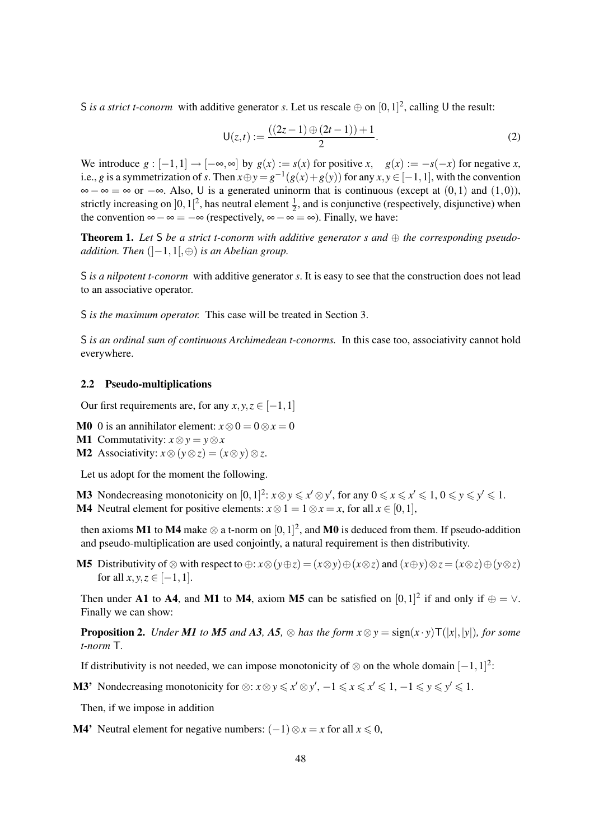S *is a strict t-conorm* with additive generator *s*. Let us rescale  $\oplus$  on  $[0,1]^2$ , calling U the result:

$$
U(z,t) := \frac{((2z-1) \oplus (2t-1)) + 1}{2}.
$$
 (2)

We introduce  $g : [-1,1] \to [-\infty,\infty]$  by  $g(x) := s(x)$  for positive  $x$ ,  $g(x) := -s(-x)$  for negative  $x$ , i.e., *g* is a symmetrization of *s*. Then  $x \oplus y = g^{-1}(g(x) + g(y))$  for any  $x, y \in [-1, 1]$ , with the convention  $\infty - \infty = \infty$  or  $-\infty$ . Also, U is a generated uninorm that is continuous (except at  $(0,1)$  and  $(1,0)$ ), strictly increasing on  $]0,1[^2$ , has neutral element  $\frac{1}{2}$ , and is conjunctive (respectively, disjunctive) when the convention  $\infty - \infty = -\infty$  (respectively,  $\infty - \infty = \infty$ ). Finally, we have:

**Theorem 1.** Let S be a strict t-conorm with additive generator s and  $\oplus$  the corresponding pseudo*addition. Then* (]−1,1[,⊕) *is an Abelian group.*

S *is a nilpotent t-conorm* with additive generator *s*. It is easy to see that the construction does not lead to an associative operator.

S *is the maximum operator.* This case will be treated in Section 3.

S *is an ordinal sum of continuous Archimedean t-conorms.* In this case too, associativity cannot hold everywhere.

### 2.2 Pseudo-multiplications

Our first requirements are, for any  $x, y, z \in [-1, 1]$ 

- **M0** 0 is an annihilator element:  $x \otimes 0 = 0 \otimes x = 0$
- M1 Commutativity:  $x \otimes y = y \otimes x$
- M2 Associativity:  $x \otimes (y \otimes z) = (x \otimes y) \otimes z$ .

Let us adopt for the moment the following.

M3 Nondecreasing monotonicity on  $[0,1]^2$ :  $x \otimes y \leq x' \otimes y'$ , for any  $0 \leq x \leq x' \leq 1$ ,  $0 \leq y \leq y' \leq 1$ . **M4** Neutral element for positive elements:  $x \otimes 1 = 1 \otimes x = x$ , for all  $x \in [0, 1]$ ,

then axioms M1 to M4 make  $\otimes$  a t-norm on  $[0,1]^2$ , and M0 is deduced from them. If pseudo-addition and pseudo-multiplication are used conjointly, a natural requirement is then distributivity.

**M5** Distributivity of ⊗ with respect to ⊕:  $x \otimes (y \oplus z) = (x \otimes y) \oplus (x \otimes z)$  and  $(x \oplus y) \otimes z = (x \otimes z) \oplus (y \otimes z)$ for all  $x, y, z \in [-1, 1]$ .

Then under A1 to A4, and M1 to M4, axiom M5 can be satisfied on  $[0,1]^2$  if and only if  $\oplus = \vee$ . Finally we can show:

**Proposition 2.** *Under M1 to M5 and A3, A5,*  $\otimes$  *has the form*  $x \otimes y = sign(x \cdot y)T(|x|,|y|)$ *, for some t-norm* T*.*

If distributivity is not needed, we can impose monotonicity of  $\otimes$  on the whole domain  $[-1,1]^2$ :

M3' Nondecreasing monotonicity for  $\otimes$ :  $x \otimes y \leq x' \otimes y'$ ,  $-1 \leq x \leq x' \leq 1$ ,  $-1 \leq y \leq y' \leq 1$ .

Then, if we impose in addition

**M4'** Neutral element for negative numbers:  $(-1) \otimes x = x$  for all  $x \le 0$ ,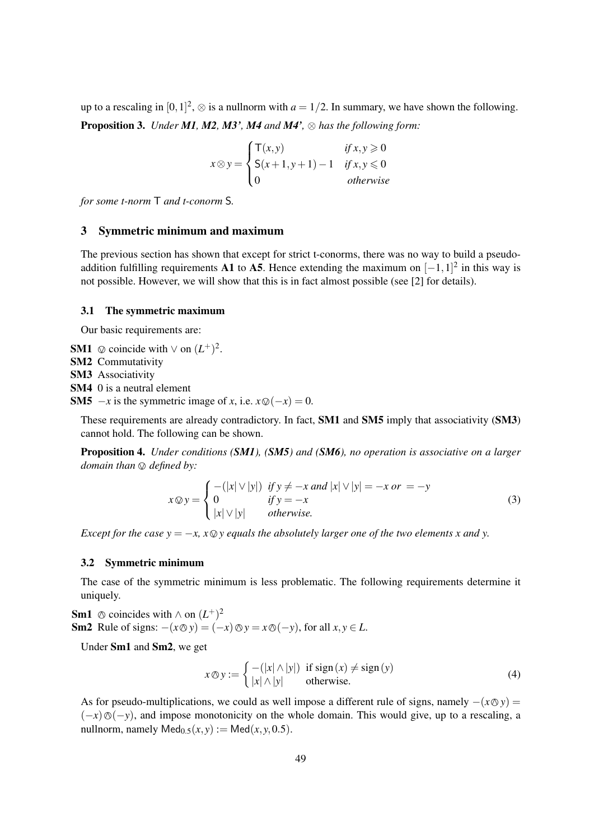up to a rescaling in  $[0,1]^2$ ,  $\otimes$  is a nullnorm with  $a = 1/2$ . In summary, we have shown the following. Proposition 3. *Under M1, M2, M3', M4 and M4',* ⊗ *has the following form:*

$$
x \otimes y = \begin{cases} \mathsf{T}(x, y) & \text{if } x, y \geq 0 \\ \mathsf{S}(x+1, y+1) - 1 & \text{if } x, y \leq 0 \\ 0 & \text{otherwise} \end{cases}
$$

*for some t-norm* T *and t-conorm* S*.*

# 3 Symmetric minimum and maximum

The previous section has shown that except for strict t-conorms, there was no way to build a pseudoaddition fulfilling requirements A1 to A5. Hence extending the maximum on  $[-1,1]^2$  in this way is not possible. However, we will show that this is in fact almost possible (see [2] for details).

#### 3.1 The symmetric maximum

Our basic requirements are:

- SM1  $\otimes$  coincide with ∨ on  $(L^+)^2$ .<br>SM2 Commutativity
- SM2 Commutativity
- SM3 Associativity

SM4 0 is a neutral element

**SM5**  $-x$  is the symmetric image of *x*, i.e.  $x \mathcal{Q}(-x) = 0$ .

These requirements are already contradictory. In fact, SM1 and SM5 imply that associativity (SM3) cannot hold. The following can be shown.

Proposition 4. *Under conditions (SM1), (SM5) and (SM6), no operation is associative on a larger domain than*  $\oslash$  *defined by:* 

$$
x \otimes y = \begin{cases} -(|x| \vee |y|) & \text{if } y \neq -x \text{ and } |x| \vee |y| = -x \text{ or } = -y \\ 0 & \text{if } y = -x \\ |x| \vee |y| & \text{otherwise.} \end{cases}
$$
(3)

*Except for the case y =*  $-x$ *,*  $x \otimes y$  *equals the absolutely larger one of the two elements x and y.* 

### 3.2 Symmetric minimum

The case of the symmetric minimum is less problematic. The following requirements determine it uniquely.

**Sm1** ⊗ coincides with ∧ on  $(L^+)^2$ <br>Sm2. Pule of signs:  $(x \otimes y) = 0$ Sm2 Rule of signs:  $-(x \textcircled{y}) = (-x) \textcircled{y} = x \textcircled{y} (-y)$ , for all *x*, *y* ∈ *L*.

Under Sm1 and Sm2, we get

$$
x \otimes y := \begin{cases} -(|x| \wedge |y|) & \text{if sign}(x) \neq \text{sign}(y) \\ |x| \wedge |y| & \text{otherwise.} \end{cases}
$$
(4)

As for pseudo-multiplications, we could as well impose a different rule of signs, namely  $-(x \otimes y)$  =  $(-x)$ \over  $(-y)$ , and impose monotonicity on the whole domain. This would give, up to a rescaling, a nullnorm, namely  $\text{Med}_{0.5}(x, y) := \text{Med}(x, y, 0.5)$ .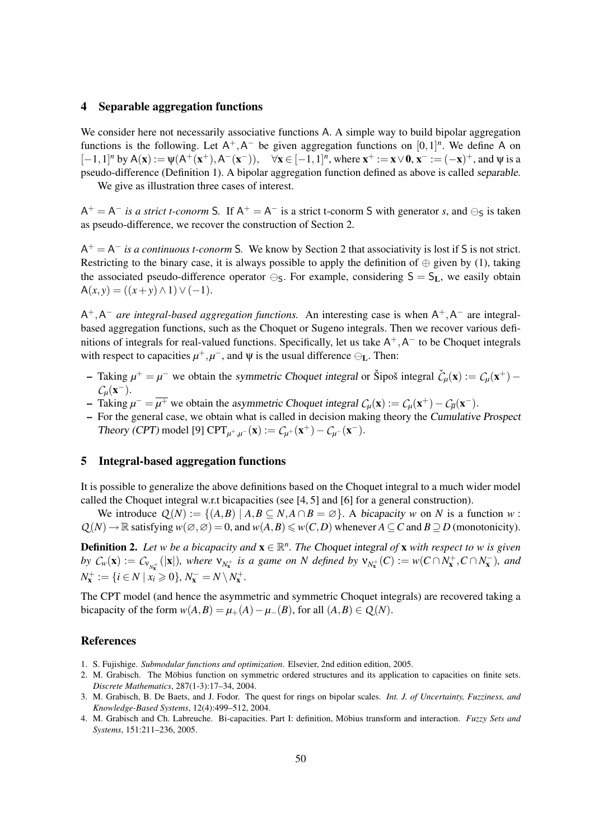## 4 Separable aggregation functions

We consider here not necessarily associative functions A. A simple way to build bipolar aggregation functions is the following. Let  $A^+, A^-$  be given aggregation functions on  $[0,1]^n$ . We define A on  $[-1, 1]$ <sup>n</sup> by A(**x**) := ψ(A<sup>+</sup>(**x**<sup>+</sup>),A<sup>−</sup>(**x**<sup>−</sup>)), ∀**x** ∈ [−1, 1]<sup>n</sup>, where **x**<sup>+</sup> := **x** ∨ **0**, **x**<sup>−</sup> := (−**x**)<sup>+</sup>, and ψ is a pseudo-difference (Definition 1). A bipolar aggregation function defined as above is called separable.

We give as illustration three cases of interest.

 $A^+ = A^-$  *is a strict t-conorm* S. If  $A^+ = A^-$  is a strict t-conorm S with generator *s*, and  $\ominus_S$  is taken as pseudo-difference, we recover the construction of Section 2.

 $A^+ = A^-$  *is a continuous t-conorm* S. We know by Section 2 that associativity is lost if S is not strict. Restricting to the binary case, it is always possible to apply the definition of  $\oplus$  given by (1), taking the associated pseudo-difference operator  $\ominus$ <sub>S</sub>. For example, considering  $S = S_L$ , we easily obtain  $A(x, y) = ((x + y) \wedge 1) \vee (-1).$ 

 $A^+$ ,  $A^-$  *are integral-based aggregation functions*. An interesting case is when  $A^+$ ,  $A^-$  are integralbased aggregation functions, such as the Choquet or Sugeno integrals. Then we recover various definitions of integrals for real-valued functions. Specifically, let us take  $A^+, A^-$  to be Choquet integrals with respect to capacities  $\mu^+, \mu^-,$  and  $\psi$  is the usual difference  $\ominus_L$ . Then:

- $-\int$  Taking  $\mu^+ = \mu^-$  we obtain the symmetric Choquet integral or Šipoš integral  $\check{C}_\mu(\mathbf{x}) := C_\mu(\mathbf{x}^+) C_\mu(\mathbf{x}^+)$ *C*<sub>µ</sub>(**x**<sup>−</sup>).
- − Taking  $\mu^- = \overline{\mu^+}$  we obtain the asymmetric Choquet integral  $C_\mu(\mathbf{x}) := C_\mu(\mathbf{x}^+) C_{\overline{\mu}}(\mathbf{x}^-)$ .
- For the general case, we obtain what is called in decision making theory the Cumulative Prospect Theory (CPT) model [9] CPT<sub>*µ*<sup>+</sup>, $\mu$ </sub><sup>-</sup>(**x**) :=  $C_{\mu}$ +(**x**<sup>+</sup>) –  $C_{\mu}$ -(**x**<sup>-</sup>).

### 5 Integral-based aggregation functions

It is possible to generalize the above definitions based on the Choquet integral to a much wider model called the Choquet integral w.r.t bicapacities (see [4, 5] and [6] for a general construction).

We introduce  $Q(N) := \{(A,B) | A,B \subseteq N, A \cap B = \emptyset\}$ . A bicapacity *w* on *N* is a function *w*:  $Q(N) \to \mathbb{R}$  satisfying  $w(\emptyset, \emptyset) = 0$ , and  $w(A, B) \leq w(C, D)$  whenever  $A \subseteq C$  and  $B \supseteq D$  (monotonicity).

**Definition 2.** Let w be a bicapacity and  $\mathbf{x} \in \mathbb{R}^n$ . The Choquet integral of  $\mathbf{x}$  with respect to w is given *by*  $C_w(\mathbf{x}) := C_{\mathcal{V}_{N_\mathbf{x}^+}}(|\mathbf{x}|)$ *, where*  $\mathcal{V}_{N_\mathbf{x}^+}$  *is a game on N defined by*  $\mathcal{V}_{N_\mathbf{x}^+}(C) := w(C \cap N_\mathbf{x}^+, C \cap N_\mathbf{x}^-)$ *, and*  $N_{\mathbf{x}}^{+} := \{i \in N \mid x_{i} \geqslant 0\}, N_{\mathbf{x}}^{-} = N \setminus N_{\mathbf{x}}^{+}.$ 

The CPT model (and hence the asymmetric and symmetric Choquet integrals) are recovered taking a bicapacity of the form  $w(A, B) = \mu_+(A) - \mu_-(B)$ , for all  $(A, B) \in Q(N)$ .

### References

- 1. S. Fujishige. *Submodular functions and optimization*. Elsevier, 2nd edition edition, 2005.
- 2. M. Grabisch. The Möbius function on symmetric ordered structures and its application to capacities on finite sets. *Discrete Mathematics*, 287(1-3):17–34, 2004.
- 3. M. Grabisch, B. De Baets, and J. Fodor. The quest for rings on bipolar scales. *Int. J. of Uncertainty, Fuzziness, and Knowledge-Based Systems*, 12(4):499–512, 2004.
- 4. M. Grabisch and Ch. Labreuche. Bi-capacities. Part I: definition, Möbius transform and interaction. *Fuzzy Sets and Systems*, 151:211–236, 2005.